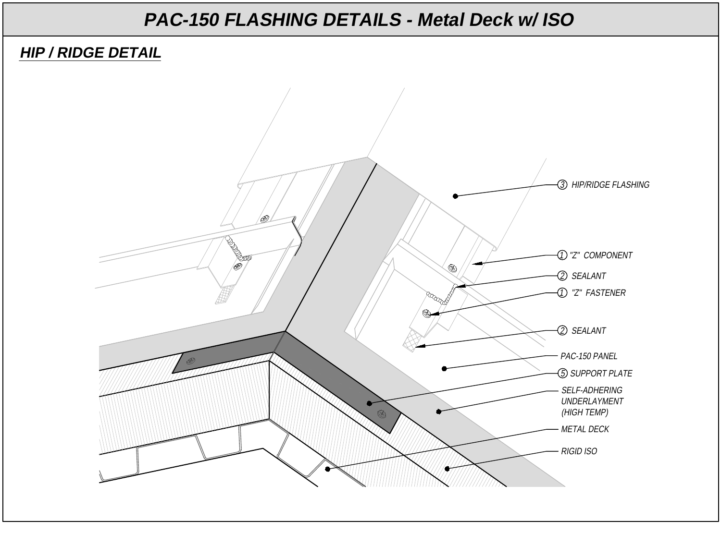#### **HIP / RIDGE DETAIL**

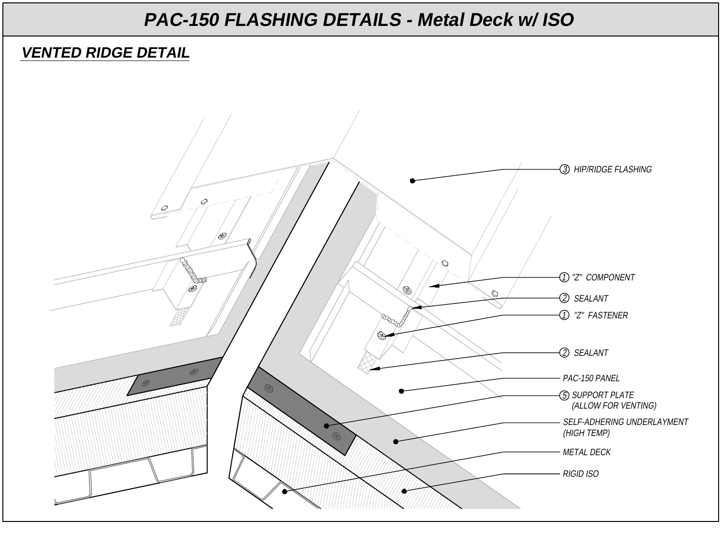#### **VENTED RIDGE DETAIL**

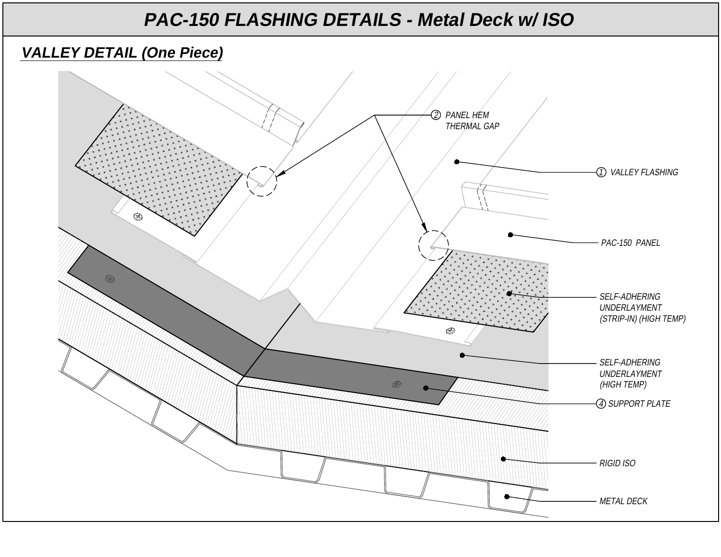### 2. **VALLEY DETAIL (One Piece)**

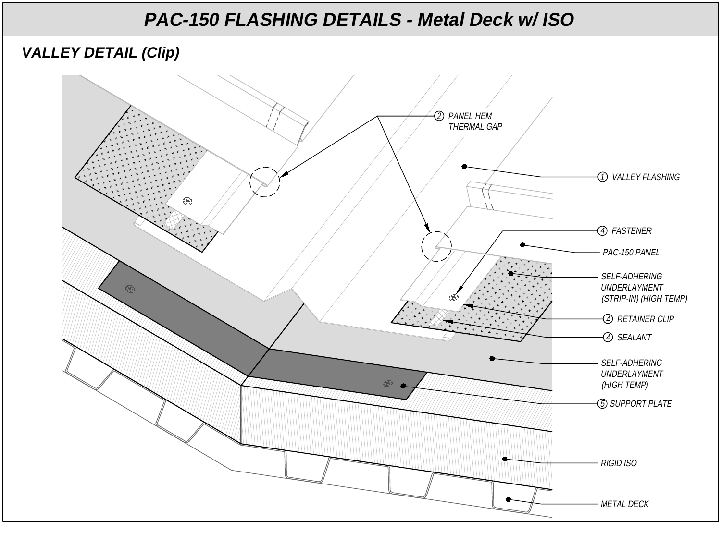### **VALLEY DETAIL (Clip)**

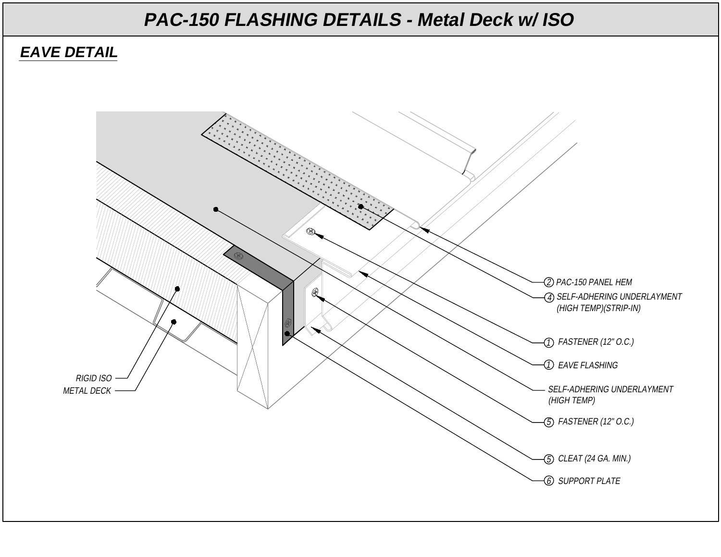### **EAVE DETAIL**

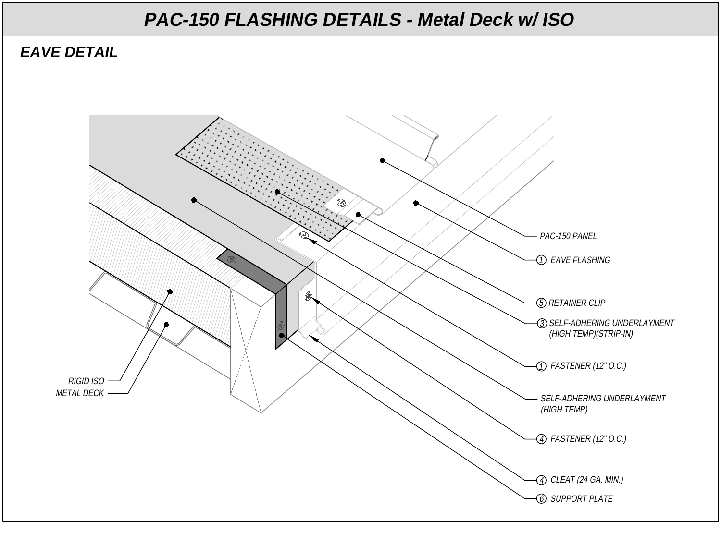#### **EAVE DETAIL**

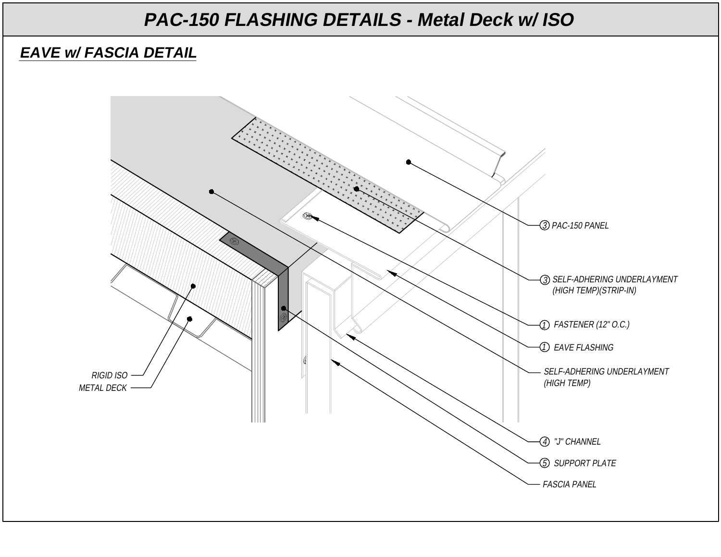### **EAVE w/ FASCIA DETAIL**

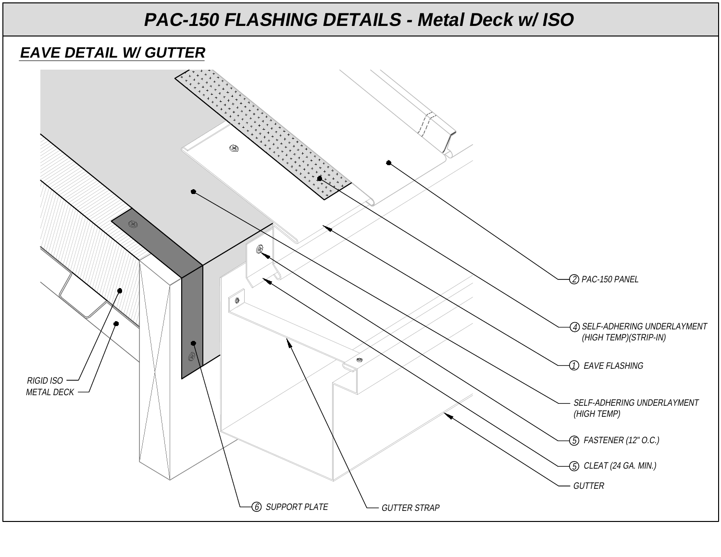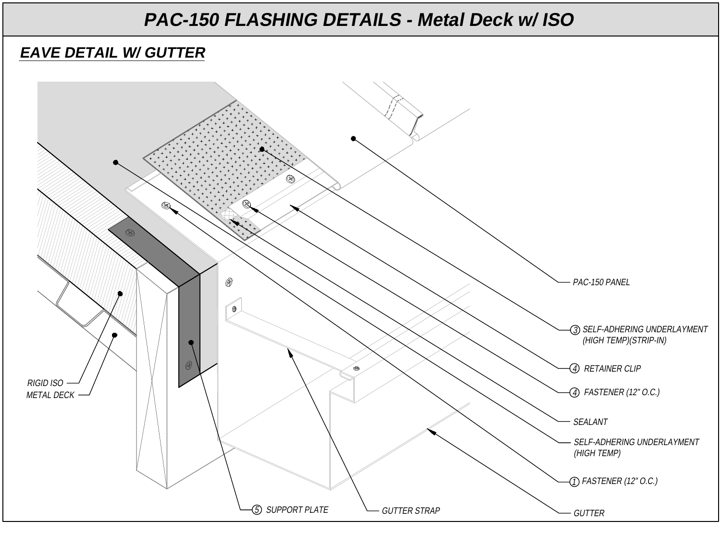### **EAVE DETAIL W/ GUTTER**

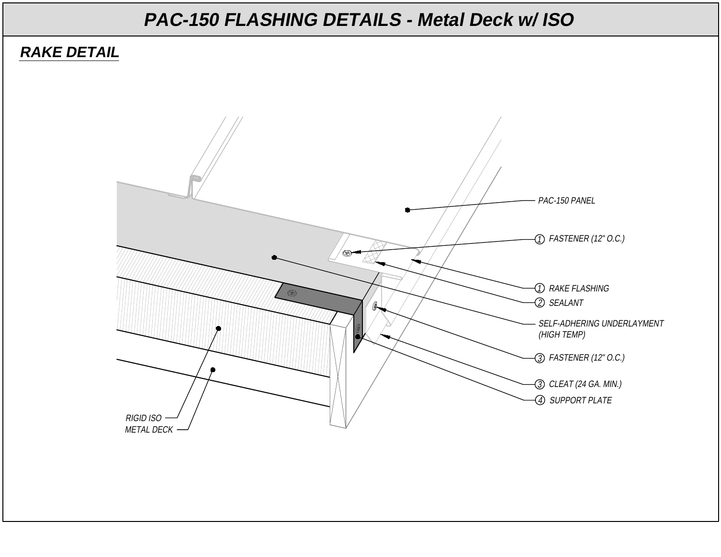#### **RAKE DETAIL**

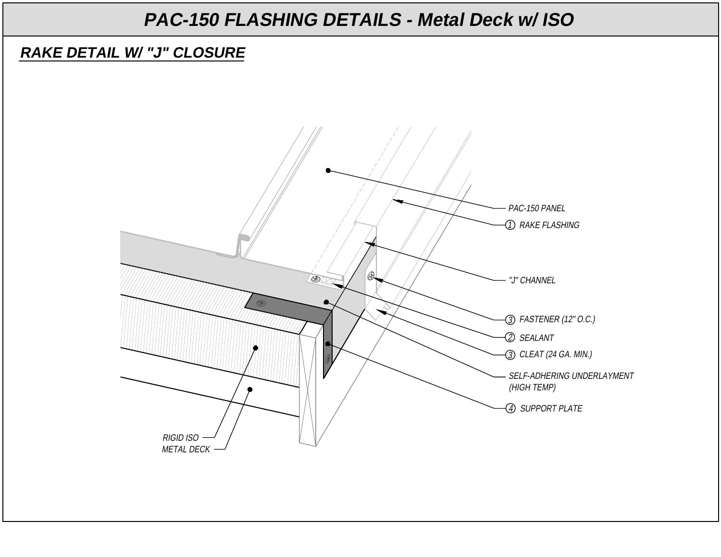#### **RAKE DETAIL W/ "J" CLOSURE**

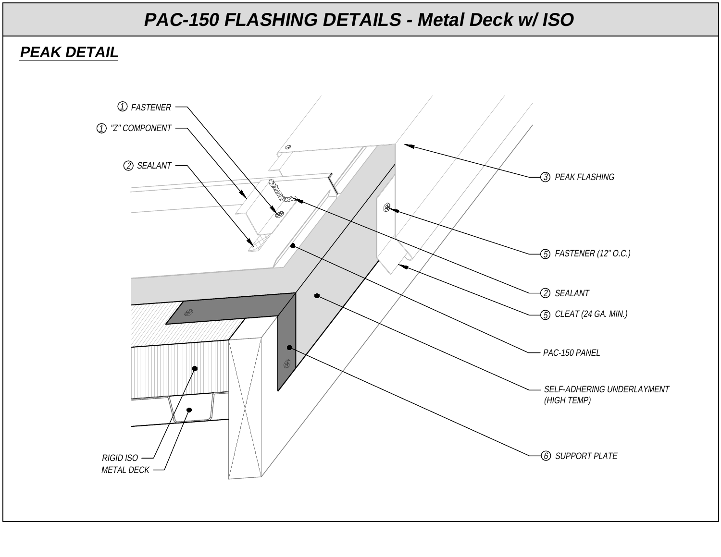### **PEAK DETAIL**

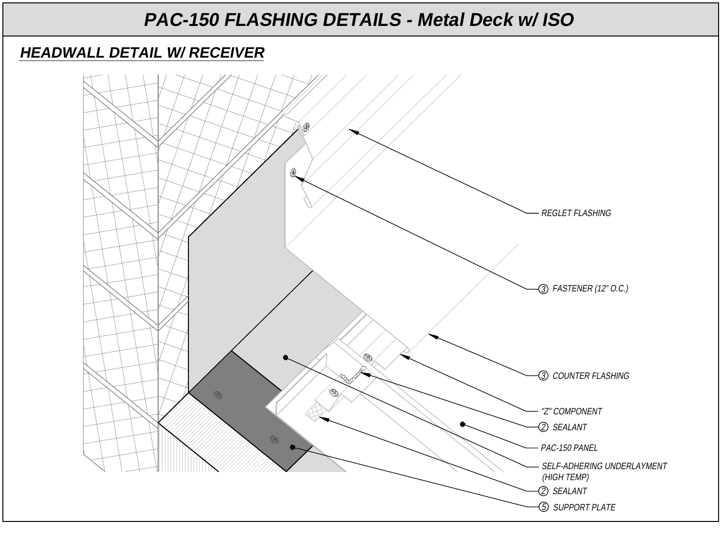#### **HEADWALL DETAIL W/ RECEIVER**

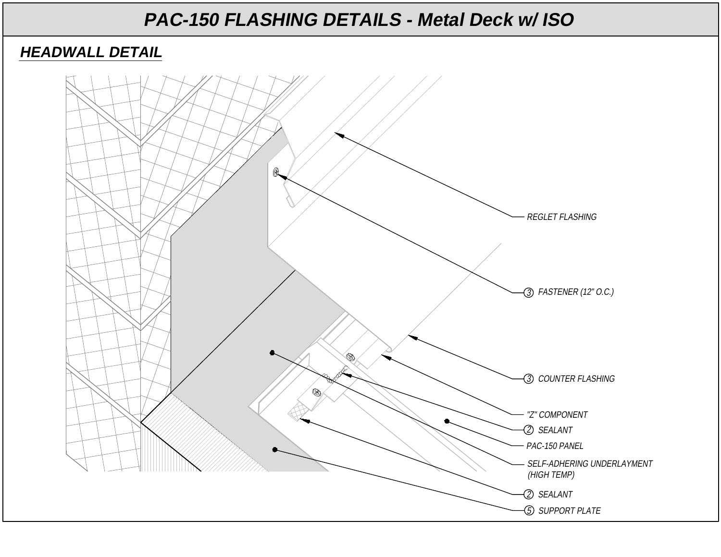#### **HEADWALL DETAIL**

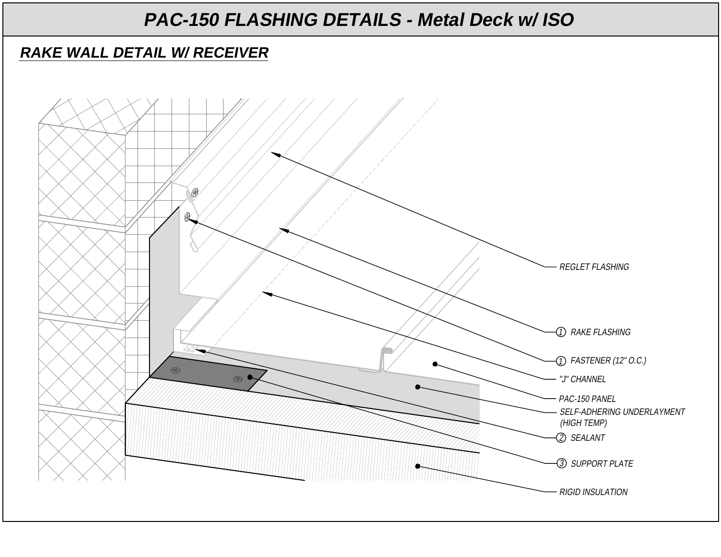### **RAKE WALL DETAIL W/ RECEIVER**

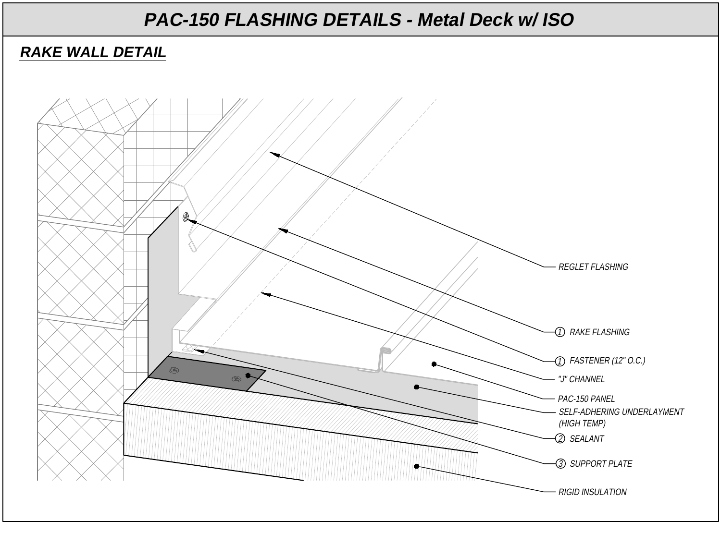### **RAKE WALL DETAIL**

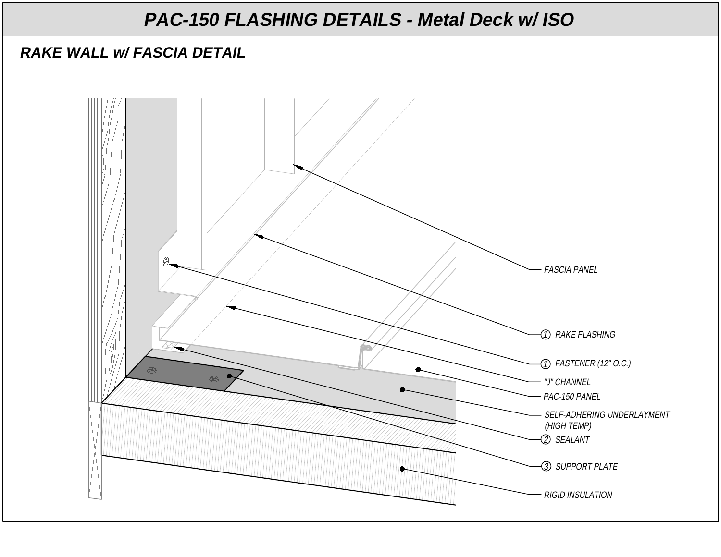### **RAKE WALL w/ FASCIA DETAIL**